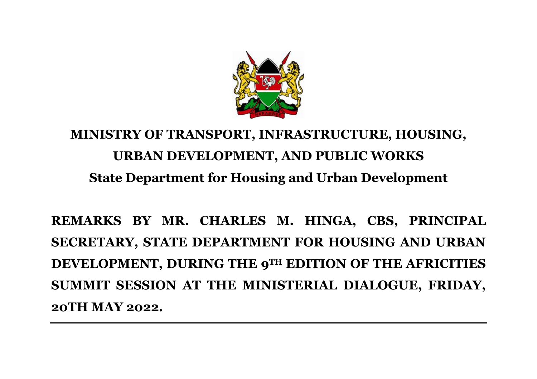

## **MINISTRY OF TRANSPORT, INFRASTRUCTURE, HOUSING, URBAN DEVELOPMENT, AND PUBLIC WORKS State Department for Housing and Urban Development**

**REMARKS BY MR. CHARLES M. HINGA, CBS, PRINCIPAL SECRETARY, STATE DEPARTMENT FOR HOUSING AND URBAN DEVELOPMENT, DURING THE 9TH EDITION OF THE AFRICITIES SUMMIT SESSION AT THE MINISTERIAL DIALOGUE, FRIDAY, 20TH MAY 2022.**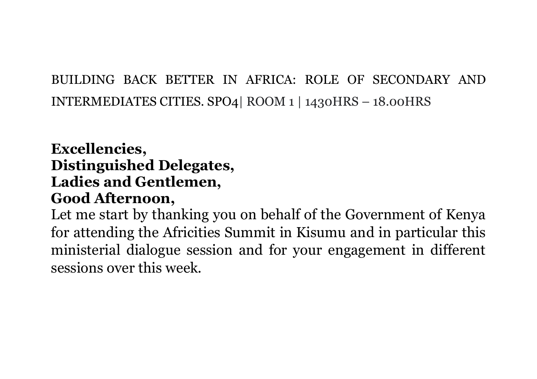## BUILDING BACK BETTER IN AFRICA: ROLE OF SECONDARY AND INTERMEDIATES CITIES. SPO4| ROOM 1 | 1430HRS – 18.00HRS

## **Excellencies, Distinguished Delegates, Ladies and Gentlemen, Good Afternoon,**

Let me start by thanking you on behalf of the Government of Kenya for attending the Africities Summit in Kisumu and in particular this ministerial dialogue session and for your engagement in different sessions over this week.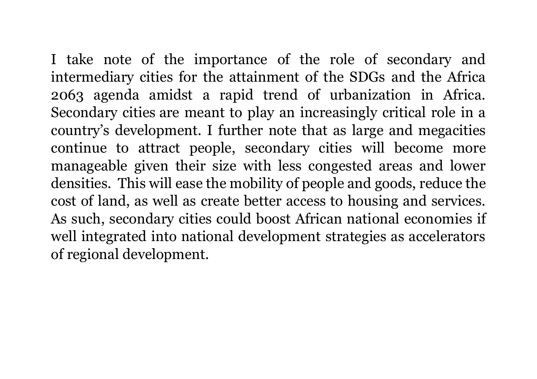I take note of the importance of the role of secondary and intermediary cities for the attainment of the SDGs and the Africa 2063 agenda amidst a rapid trend of urbanization in Africa. Secondary cities are meant to play an increasingly critical role in a country's development. I further note that as large and megacities continue to attract people, secondary cities will become more manageable given their size with less congested areas and lower densities. This will ease the mobility of people and goods, reduce the cost of land, as well as create better access to housing and services. As such, secondary cities could boost African national economies if well integrated into national development strategies as accelerators of regional development.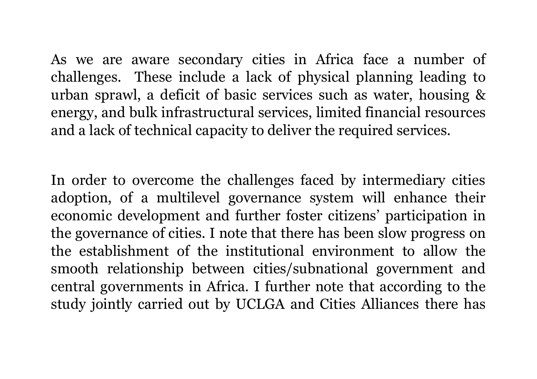As we are aware secondary cities in Africa face a number of challenges. These include a lack of physical planning leading to urban sprawl, a deficit of basic services such as water, housing & energy, and bulk infrastructural services, limited financial resources and a lack of technical capacity to deliver the required services.

In order to overcome the challenges faced by intermediary cities adoption, of a multilevel governance system will enhance their economic development and further foster citizens' participation in the governance of cities. I note that there has been slow progress on the establishment of the institutional environment to allow the smooth relationship between cities/subnational government and central governments in Africa. I further note that according to the study jointly carried out by UCLGA and Cities Alliances there has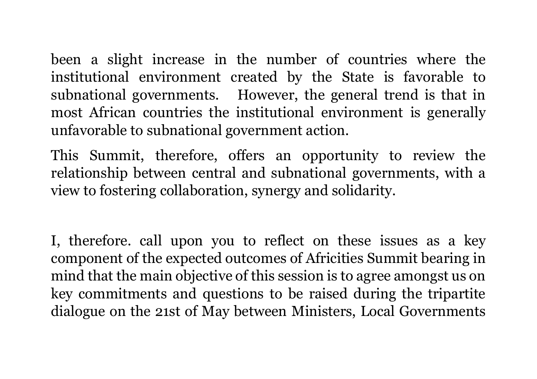been a slight increase in the number of countries where the institutional environment created by the State is favorable to subnational governments. However, the general trend is that in most African countries the institutional environment is generally unfavorable to subnational government action.

This Summit, therefore, offers an opportunity to review the relationship between central and subnational governments, with a view to fostering collaboration, synergy and solidarity.

I, therefore. call upon you to reflect on these issues as a key component of the expected outcomes of Africities Summit bearing in mind that the main objective of this session is to agree amongst us on key commitments and questions to be raised during the tripartite dialogue on the 21st of May between Ministers, Local Governments